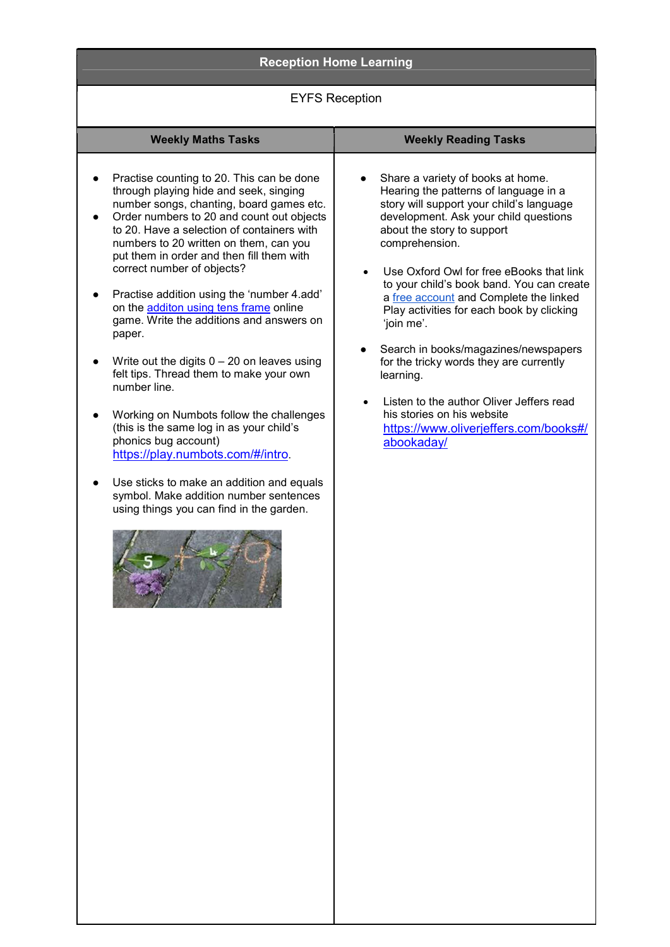| <b>Reception Home Learning</b>                                                                                                                                                                                                                                                                                                                                                                                                                                                                                                                                                                                                                                                                                                                                                                                                                                                                    |                                                                                                                                                                                                                                                                                                                                                                                                                                                                                                                                                                                                                                                             |
|---------------------------------------------------------------------------------------------------------------------------------------------------------------------------------------------------------------------------------------------------------------------------------------------------------------------------------------------------------------------------------------------------------------------------------------------------------------------------------------------------------------------------------------------------------------------------------------------------------------------------------------------------------------------------------------------------------------------------------------------------------------------------------------------------------------------------------------------------------------------------------------------------|-------------------------------------------------------------------------------------------------------------------------------------------------------------------------------------------------------------------------------------------------------------------------------------------------------------------------------------------------------------------------------------------------------------------------------------------------------------------------------------------------------------------------------------------------------------------------------------------------------------------------------------------------------------|
| <b>EYFS Reception</b>                                                                                                                                                                                                                                                                                                                                                                                                                                                                                                                                                                                                                                                                                                                                                                                                                                                                             |                                                                                                                                                                                                                                                                                                                                                                                                                                                                                                                                                                                                                                                             |
| <b>Weekly Maths Tasks</b>                                                                                                                                                                                                                                                                                                                                                                                                                                                                                                                                                                                                                                                                                                                                                                                                                                                                         | <b>Weekly Reading Tasks</b>                                                                                                                                                                                                                                                                                                                                                                                                                                                                                                                                                                                                                                 |
| Practise counting to 20. This can be done<br>through playing hide and seek, singing<br>number songs, chanting, board games etc.<br>Order numbers to 20 and count out objects<br>to 20. Have a selection of containers with<br>numbers to 20 written on them, can you<br>put them in order and then fill them with<br>correct number of objects?<br>Practise addition using the 'number 4.add'<br>on the additon using tens frame online<br>game. Write the additions and answers on<br>paper.<br>Write out the digits $0 - 20$ on leaves using<br>felt tips. Thread them to make your own<br>number line.<br>Working on Numbots follow the challenges<br>(this is the same log in as your child's<br>phonics bug account)<br>https://play.numbots.com/#/intro.<br>Use sticks to make an addition and equals<br>symbol. Make addition number sentences<br>using things you can find in the garden. | Share a variety of books at home.<br>Hearing the patterns of language in a<br>story will support your child's language<br>development. Ask your child questions<br>about the story to support<br>comprehension.<br>Use Oxford Owl for free eBooks that link<br>to your child's book band. You can create<br>a free account and Complete the linked<br>Play activities for each book by clicking<br>'join me'.<br>Search in books/magazines/newspapers<br>for the tricky words they are currently<br>learning.<br>Listen to the author Oliver Jeffers read<br>$\bullet$<br>his stories on his website<br>https://www.oliverjeffers.com/books#/<br>abookaday/ |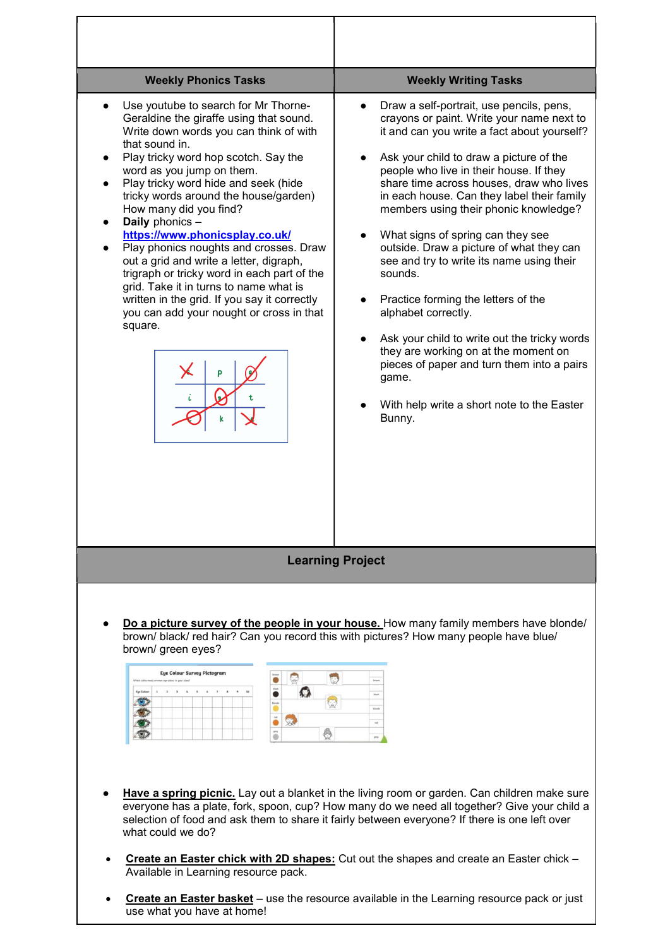

use what you have at home!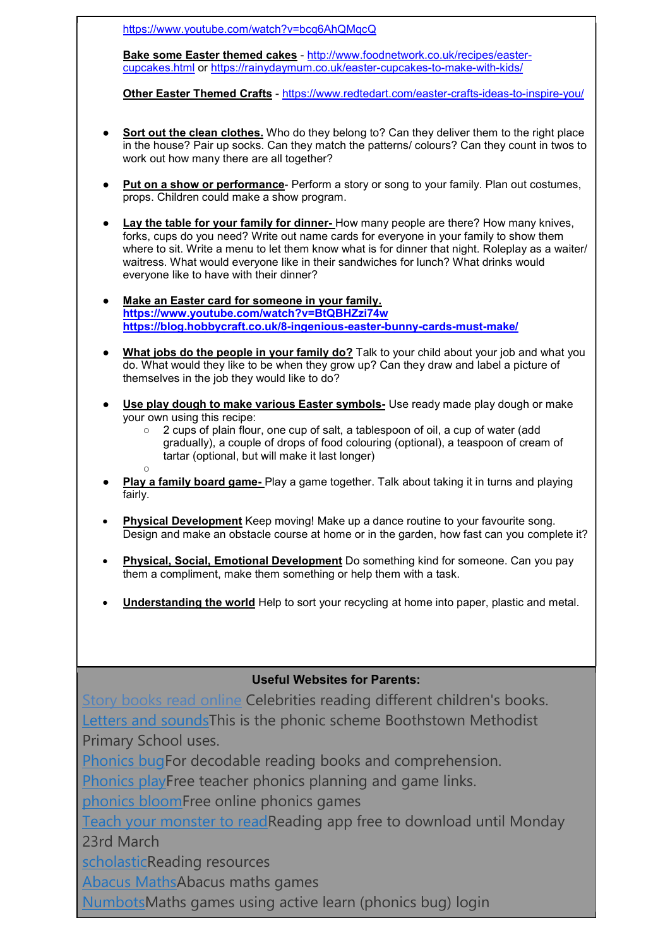https://www.youtube.com/watch?v=bcq6AhQMqcQ

 $\Omega$ 

Bake some Easter themed cakes - http://www.foodnetwork.co.uk/recipes/eastercupcakes.html or https://rainydaymum.co.uk/easter-cupcakes-to-make-with-kids/

Other Easter Themed Crafts - https://www.redtedart.com/easter-crafts-ideas-to-inspire-you/

- Sort out the clean clothes. Who do they belong to? Can they deliver them to the right place in the house? Pair up socks. Can they match the patterns/ colours? Can they count in twos to work out how many there are all together?
- Put on a show or performance- Perform a story or song to your family. Plan out costumes, props. Children could make a show program.
- Lay the table for your family for dinner- How many people are there? How many knives, forks, cups do you need? Write out name cards for everyone in your family to show them where to sit. Write a menu to let them know what is for dinner that night. Roleplay as a waiter/ waitress. What would everyone like in their sandwiches for lunch? What drinks would everyone like to have with their dinner?
- Make an Easter card for someone in your family. https://www.youtube.com/watch?v=BtQBHZzi74w https://blog.hobbycraft.co.uk/8-ingenious-easter-bunny-cards-must-make/
- What jobs do the people in your family do? Talk to your child about your job and what you do. What would they like to be when they grow up? Can they draw and label a picture of themselves in the job they would like to do?
- Use play dough to make various Easter symbols- Use ready made play dough or make your own using this recipe:
	- 2 cups of plain flour, one cup of salt, a tablespoon of oil, a cup of water (add gradually), a couple of drops of food colouring (optional), a teaspoon of cream of tartar (optional, but will make it last longer)
- Play a family board game- Play a game together. Talk about taking it in turns and playing fairly.
- Physical Development Keep moving! Make up a dance routine to your favourite song. Design and make an obstacle course at home or in the garden, how fast can you complete it?
- Physical, Social, Emotional Development Do something kind for someone. Can you pay them a compliment, make them something or help them with a task.
- Understanding the world Help to sort your recycling at home into paper, plastic and metal.

## Useful Websites for Parents:

Story books read online Celebrities reading different children's books. Letters and soundsThis is the phonic scheme Boothstown Methodist Primary School uses. Phonics bugFor decodable reading books and comprehension. Phonics playFree teacher phonics planning and game links. phonics bloomFree online phonics games Teach your monster to readReading app free to download until Monday 23rd March scholasticReading resources Abacus MathsAbacus maths games NumbotsMaths games using active learn (phonics bug) login